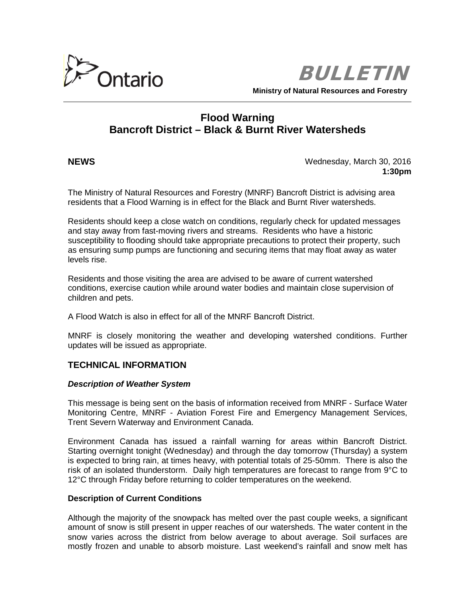

BULLETIN

**Ministry of Natural Resources and Forestry**

# **Flood Warning Bancroft District – Black & Burnt River Watersheds**

**NEWS** Wednesday, March 30, 2016 **1:30pm**

The Ministry of Natural Resources and Forestry (MNRF) Bancroft District is advising area residents that a Flood Warning is in effect for the Black and Burnt River watersheds.

Residents should keep a close watch on conditions, regularly check for updated messages and stay away from fast-moving rivers and streams. Residents who have a historic susceptibility to flooding should take appropriate precautions to protect their property, such as ensuring sump pumps are functioning and securing items that may float away as water levels rise.

Residents and those visiting the area are advised to be aware of current watershed conditions, exercise caution while around water bodies and maintain close supervision of children and pets.

A Flood Watch is also in effect for all of the MNRF Bancroft District.

MNRF is closely monitoring the weather and developing watershed conditions. Further updates will be issued as appropriate.

# **TECHNICAL INFORMATION**

### *Description of Weather System*

This message is being sent on the basis of information received from MNRF - Surface Water Monitoring Centre, MNRF - Aviation Forest Fire and Emergency Management Services, Trent Severn Waterway and Environment Canada.

Environment Canada has issued a rainfall warning for areas within Bancroft District. Starting overnight tonight (Wednesday) and through the day tomorrow (Thursday) a system is expected to bring rain, at times heavy, with potential totals of 25-50mm. There is also the risk of an isolated thunderstorm. Daily high temperatures are forecast to range from 9°C to 12°C through Friday before returning to colder temperatures on the weekend.

# **Description of Current Conditions**

Although the majority of the snowpack has melted over the past couple weeks, a significant amount of snow is still present in upper reaches of our watersheds. The water content in the snow varies across the district from below average to about average. Soil surfaces are mostly frozen and unable to absorb moisture. Last weekend's rainfall and snow melt has